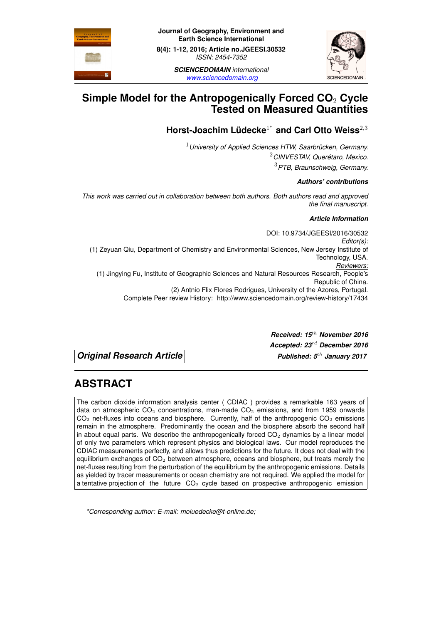



*www.sciencedomain.org*

# **Simple Model for the Antropogenically Forced CO**<sup>2</sup> **Cycle [Tested on](www.sciencedomain.org) Measured Quantities**

# **Horst-Joachim L ¨udecke**<sup>1</sup> *∗* **and Carl Otto Weiss**<sup>2</sup>*,*<sup>3</sup>

<sup>1</sup>*University of Applied Sciences HTW, Saarbrucken, Germany. ¨* <sup>2</sup>*CINVESTAV, Queretaro, Mexico. ´* <sup>3</sup>*PTB, Braunschweig, Germany.*

#### *Authors' contributions*

*This work was carried out in collaboration between both authors. Both authors read and approved the final manuscript.*

#### *Article Information*

DOI: 10.9734/JGEESI/2016/30532 *Editor(s):* (1) Zeyuan Qiu, Department of Chemistry and Environmental Sciences, New Jersey Institute of Technology, USA. *Reviewers:* (1) Jingying Fu, Institute of Geographic Sciences and Natural Resources Research, People's Republic of China. (2) Antnio Flix Flores Rodrigues, University of the Azores, Portugal. Complete Peer review History: http://www.sciencedomain.org/review-history/17434

*Original Research Article Published: 5th January 2017*

*Received: 15th [November 2016](http://www.sciencedomain.org/review-history/17434) Accepted: 23rd December 2016*

# **ABSTRACT**

The carbon dioxide information analysis center ( CDIAC ) provides a remarkable 163 years of data on atmospheric  $CO<sub>2</sub>$  concentrations, man-made  $CO<sub>2</sub>$  emissions, and from 1959 onwards  $CO<sub>2</sub>$  net-fluxes into oceans and biosphere. Currently, half of the anthropogenic  $CO<sub>2</sub>$  emissions remain in the atmosphere. Predominantly the ocean and the biosphere absorb the second half in about equal parts. We describe the anthropogenically forced  $CO<sub>2</sub>$  dynamics by a linear model of only two parameters which represent physics and biological laws. Our model reproduces the CDIAC measurements perfectly, and allows thus predictions for the future. It does not deal with the equilibrium exchanges of  $CO<sub>2</sub>$  between atmosphere, oceans and biosphere, but treats merely the net-fluxes resulting from the perturbation of the equilibrium by the anthropogenic emissions. Details as yielded by tracer measurements or ocean chemistry are not required. We applied the model for a tentative projection of the future  $CO<sub>2</sub>$  cycle based on prospective anthropogenic emission

*<sup>\*</sup>Corresponding author: E-mail: moluedecke@t-online.de;*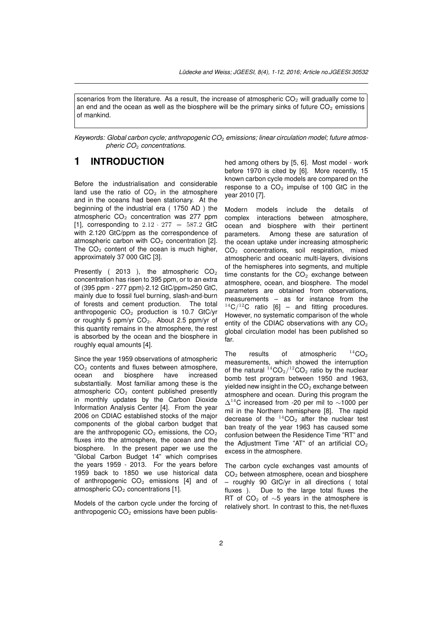scenarios from the literature. As a result, the increase of atmospheric  $CO<sub>2</sub>$  will gradually come to an end and the ocean as well as the biosphere will be the primary sinks of future CO<sub>2</sub> emissions of mankind.

Keywords: Global carbon cycle; anthropogenic CO<sub>2</sub> emissions; linear circulation model; future atmos*pheric CO*<sup>2</sup> *concentrations.*

## **1 INTRODUCTION**

Before the industrialisation and considerable land use the ratio of  $CO<sub>2</sub>$  in the atmosphere and in the oceans had been stationary. At the beginning of the industrial era ( 1750 AD ) the atmospheric  $CO<sub>2</sub>$  concentration was 277 ppm [1], corresponding to  $2.12 \cdot 277 = 587.2$  GtC with 2.120 GtC/ppm as the correspondence of atmospheric carbon with  $CO<sub>2</sub>$  concentration [2]. The  $CO<sub>2</sub>$  content of the ocean is much higher, [ap](#page-9-0)proximately 37 000 GtC [3].

Presently ( $2013$ ), the atmospheric  $CO<sub>2</sub>$ concentration has risen to 395 ppm, or to an ex[tra](#page-9-1) of (395 ppm - 277 ppm)*·*2.12 GtC/ppm=250 GtC, mainly due to fossil fuel bu[rn](#page-9-2)ing, slash-and-burn of forests and cement production. The total anthropogenic  $CO<sub>2</sub>$  production is 10.7 GtC/yr or roughly 5 ppm/yr  $CO<sub>2</sub>$ . About 2.5 ppm/yr of this quantity remains in the atmosphere, the rest is absorbed by the ocean and the biosphere in roughly equal amounts [4].

Since the year 1959 observations of atmospheric  $CO<sub>2</sub>$  contents and fluxes between atmosphere, ocean and biosphere have increased substantially. Most fa[mili](#page-9-3)ar among these is the atmospheric  $CO<sub>2</sub>$  content published presently in monthly updates by the Carbon Dioxide Information Analysis Center [4]. From the year 2006 on CDIAC established stocks of the major components of the global carbon budget that are the anthropogenic  $CO<sub>2</sub>$  emissions, the  $CO<sub>2</sub>$ fluxes into the atmosphere, [th](#page-9-3)e ocean and the biosphere. In the present paper we use the "Global Carbon Budget 14" which comprises the years 1959 - 2013. For the years before 1959 back to 1850 we use historical data of anthropogenic  $CO<sub>2</sub>$  emissions [4] and of atmospheric  $CO<sub>2</sub>$  concentrations [1].

Models of the carbon cycle under the forcing of anthropogenic  $CO<sub>2</sub>$  emissions have been published among others by [5, 6]. Most model - work before 1970 is cited by [6]. More recently, 15 known carbon cycle models are compared on the response to a  $CO<sub>2</sub>$  impulse of 100 GtC in the year 2010 [7].

Modern models inclu[de](#page-10-0) the details of complex interactions between atmosphere, ocean and biosphere with their pertinent parameter[s.](#page-10-1) Among these are saturation of the ocean uptake under increasing atmospheric CO<sup>2</sup> concentrations, soil respiration, mixed atmospheric and oceanic multi-layers, divisions of the hemispheres into segments, and multiple time constants for the  $CO<sub>2</sub>$  exchange between atmosphere, ocean, and biosphere. The model parameters are obtained from observations, measurements – as for instance from the  $14C/12C$  ratio [6] – and fitting procedures. However, no systematic comparison of the whole entity of the CDIAC observations with any  $CO<sub>2</sub>$ global circulation model has been published so far.

The results of atmospheric  $^{14}CO<sub>2</sub>$ measurements, which showed the interruption of the natural  $\rm ^{14}CO_2/^{12}CO_2$  ratio by the nuclear bomb test program between 1950 and 1963, yielded new insight in the  $CO<sub>2</sub>$  exchange between atmosphere and ocean. During this program the <sup>∆</sup><sup>14</sup>C increased from -20 per mil to *<sup>∼</sup>*1000 per mil in the Northern hemisphere [8]. The rapid decrease of the  $14CO<sub>2</sub>$  after the nuclear test ban treaty of the year 1963 has caused some confusion between the Residence Time "RT" and the Adjustment Time "AT" of [a](#page-10-2)n artificial  $CO<sub>2</sub>$ excess in the atmosphere.

The carbon cycle exchanges vast amounts of CO<sup>2</sup> between atmosphere, ocean and biosphere – roughly 90 GtC/yr in all directions ( total fluxes ). Due to the large total fluxes the RT of CO<sup>2</sup> of *∼*5 years in the atmosphere is relatively short. In contrast to this, the net-fluxes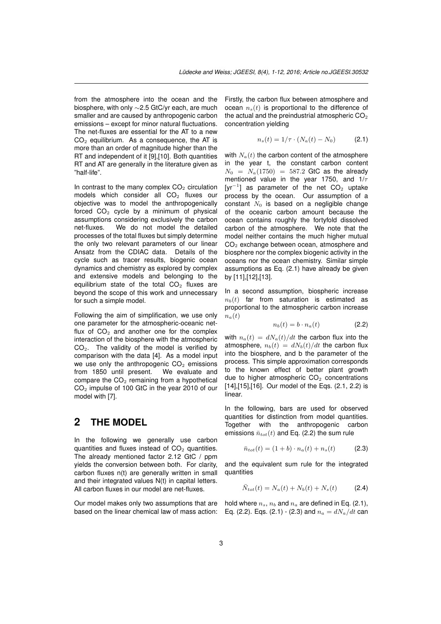from the atmosphere into the ocean and the biosphere, with only *∼*2.5 GtC/yr each, are much smaller and are caused by anthropogenic carbon emissions – except for minor natural fluctuations. The net-fluxes are essential for the AT to a new  $CO<sub>2</sub>$  equilibrium. As a consequence, the AT is more than an order of magnitude higher than the RT and independent of it [9],[10]. Both quantities RT and AT are generally in the literature given as "half-life".

In contrast to the many complex  $CO<sub>2</sub>$  circulation models which consider [a](#page-10-3)ll  $CO<sub>2</sub>$  fluxes our objective was to model the anthropogenically forced  $CO<sub>2</sub>$  cycle by a minimum of physical assumptions considering exclusively the carbon net-fluxes. We do not model the detailed processes of the total fluxes but simply determine the only two relevant parameters of our linear Ansatz from the CDIAC data. Details of the cycle such as tracer results, biogenic ocean dynamics and chemistry as explored by complex and extensive models and belonging to the equilibrium state of the total  $CO<sub>2</sub>$  fluxes are beyond the scope of this work and unnecessary for such a simple model.

Following the aim of simplification, we use only one parameter for the atmospheric-oceanic netflux of  $CO<sub>2</sub>$  and another one for the complex interaction of the biosphere with the atmospheric  $CO<sub>2</sub>$ . The validity of the model is verified by comparison with the data [4]. As a model input we use only the anthropogenic  $CO<sub>2</sub>$  emissions from 1850 until present. We evaluate and compare the  $CO<sub>2</sub>$  remaining from a hypothetical CO<sup>2</sup> impulse of 100 GtC in [t](#page-9-3)he year 2010 of our model with [7].

# **2 THE MODEL**

In the following we generally use carbon quantities and fluxes instead of  $CO<sub>2</sub>$  quantities. The already mentioned factor 2.12 GtC / ppm yields the conversion between both. For clarity, carbon fluxes n(t) are generally written in small and their integrated values N(t) in capital letters. All carbon fluxes in our model are net-fluxes.

Our model makes only two assumptions that are based on the linear chemical law of mass action: Firstly, the carbon flux between atmosphere and ocean  $n<sub>s</sub>(t)$  is proportional to the difference of the actual and the preindustrial atmospheric  $CO<sub>2</sub>$ concentration yielding

$$
n_s(t) = 1/\tau \cdot (N_a(t) - N_0) \tag{2.1}
$$

with  $N_a(t)$  the carbon content of the atmosphere in the year t, the constant carbon content  $N_0 = N_a(1750) = 587.2$  GtC as the already mentioned value in the year 1750, and 1/*τ* [yr<sup>-1</sup>] as parameter of the net CO<sub>2</sub> uptake process by the ocean. Our assumption of a constant  $N_0$  is based on a negligible change of the oceanic carbon amount because the ocean contains roughly the fortyfold dissolved carbon of the atmosphere. We note that the model neither contains the much higher mutual CO<sup>2</sup> exchange between ocean, atmosphere and biosphere nor the complex biogenic activity in the oceans nor the ocean chemistry. Similar simple assumptions as Eq. (2.1) have already be given by [11],[12],[13].

In a second assumption, biospheric increase  $n<sub>b</sub>(t)$  far from saturation is estimated as proporti[ona](#page-10-6)l [to](#page-10-7) the atmospheric carbon increase  $n_a(t)$  $n_a(t)$ 

$$
n_b(t) = b \cdot n_a(t) \tag{2.2}
$$

with  $n_a(t) = dN_a(t)/dt$  the carbon flux into the atmosphere,  $n_b(t) = dN_b(t)/dt$  the carbon flux into the biosphere, and b the parameter of the process. This simple approximation corresponds to the known effect of better plant growth due to higher atmospheric  $CO<sub>2</sub>$  concentrations [14],[15],[16]. Our model of the Eqs. (2.1, 2.2) is linear.

In the following, bars are used for observed quantities for distinction from model quantities. [Tog](#page-10-8)e[the](#page-10-9)r [w](#page-10-10)ith the anthropogenic carbon emissions  $\bar{n}_{tot}(t)$  and Eq. (2.2) the sum rule

$$
\bar{n}_{tot}(t) = (1+b) \cdot n_a(t) + n_s(t) \tag{2.3}
$$

and the equivalent sum rule for the integrated quantities

$$
\bar{N}_{tot}(t) = N_a(t) + N_b(t) + N_s(t)
$$
 (2.4)

hold where  $n_s$ ,  $n_b$  and  $n_a$  are defined in Eq. (2.1), Eq. (2.2). Eqs. (2.1) - (2.3) and  $n_a = dN_a/dt$  can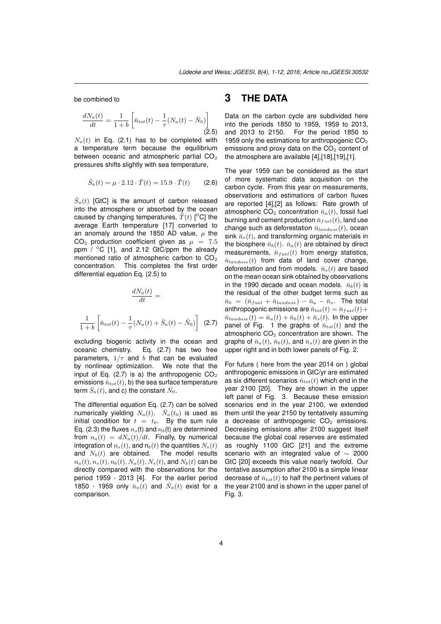be combined to

$$
\frac{dN_a(t)}{dt} = \frac{1}{1+b} \left[ \bar{n}_{tot}(t) - \frac{1}{\tau} (N_a(t) - \bar{N}_0) \right]
$$
\n(2.5)

 $N_a(t)$  in Eq. (2.1) has to be completed with a temperature term because the equilibrium between oceanic and atmospheric partial  $CO<sub>2</sub>$ pressures shifts slightly with sea temperature,

$$
\bar{S}_a(t) = \mu \cdot 2.12 \cdot \bar{T}(t) = 15.9 \cdot \bar{T}(t) \tag{2.6}
$$

 $\bar{S}_a(t)$  [GtC] is the amount of carbon released into the atmosphere or absorbed by the ocean caused by changing temperatures,  $\bar{T}(t)$  [<sup>0</sup>C] the average Earth temperature [17] converted to an anomaly around the 1850 AD value, *µ* the  $CO<sub>2</sub>$  production coefficient given as  $\mu = 7.5$ ppm  $/$  <sup>0</sup>C [1], and 2.12 GtC/ppm the already mentioned ratio of atmospher[ic](#page-10-11) carbon to  $CO<sub>2</sub>$ concentration. This completes the first order differential equation Eq. (2.5) to

$$
\frac{dN_a(t)}{dt} =
$$
\n
$$
\frac{1}{1+b} \left[ \bar{n}_{tot}(t) - \frac{1}{\tau} (N_a(t) + \bar{S}_a(t) - \bar{N}_0) \right] \tag{2.7}
$$

excluding biogenic activity in the ocean and oceanic chemistry. Eq. (2.7) has two free parameters,  $1/\tau$  and *b* that can be evaluated by nonlinear optimization. We note that the input of Eq. (2.7) is a) the anthropogenic  $CO<sub>2</sub>$ emissions  $\bar{n}_{tot}(t)$ , b) the sea surface temperature term  $\bar{S}_a(t)$ , and c) the constant  $\bar{N}_0$ .

The differential equation Eq. (2.7) can be solved numerically yielding  $N_a(t)$ .  $\bar{N}_a(t_0)$  is used as initial condition for  $t = t_0$ . By the sum rule Eq. (2.3) the fluxes  $n_s(t)$  and  $n_b(t)$  are determined from  $n_a(t) = dN_a(t)/dt$ . Finally, by numerical integration of  $n_s(t)$ , and  $n_b(t)$  the quantities  $N_s(t)$ and  $N_b(t)$  are obtained. The model results  $n_a(t), n_s(t), n_b(t), N_a(t), N_s(t)$ , and  $N_b(t)$  can be directly compared with the observations for the period 1959 - 2013 [4]. For the earlier period 1850 - 1959 only  $\bar{n}_a(t)$  and  $\bar{N}_a(t)$  exist for a comparison.

## **3 THE DATA**

Data on the carbon cycle are subdivided here into the periods 1850 to 1959, 1959 to 2013, and 2013 to 2150. For the period 1850 to 1959 only the estimations for anthropogenic  $CO<sub>2</sub>$ emissions and proxy data on the  $CO<sub>2</sub>$  content of the atmosphere are available [4],[18],[19],[1].

The year 1959 can be considered as the start of more systematic data acquisition on the carbon cycle. From this year on measurements, observations and estimation[s](#page-9-3) o[f c](#page-10-12)a[rbo](#page-10-13)n [fl](#page-9-0)uxes are reported [4],[2] as follows: Rate growth of atmospheric CO<sub>2</sub> concentration  $\bar{n}_a(t)$ , fossil fuel burning and cement production  $\bar{n}_{fuel}(t)$ , land use change such as deforestation  $\bar{n}_{landuse}(t)$ , ocean sink  $\bar{n}_s(t)$ , [an](#page-9-1)d transforming organic materials in the biosphere  $\bar{n}_b(t)$  $\bar{n}_b(t)$  $\bar{n}_b(t)$ .  $\bar{n}_a(t)$  are obtained by direct measurements,  $\bar{n}_{fuel}(t)$  from energy statistics,  $\bar{n}_{landuse}(t)$  from data of land cover change, deforestation and from models.  $\bar{n}_s(t)$  are based on the mean ocean sink obtained by observations in the 1990 decade and ocean models.  $\bar{n}_b(t)$  is the residual of the other budget terms such as  $\bar{n}_b = (\bar{n}_{fuel} + \bar{n}_{landuse}) - \bar{n}_a - \bar{n}_s$ . The total anthropogenic emissions are  $\bar{n}_{tot}(t) = \bar{n}_{fuel}(t) +$  $\bar{n}_{landuse}(t) = \bar{n}_a(t) + \bar{n}_b(t) + \bar{n}_s(t)$ . In the upper panel of Fig. 1 the graphs of  $\bar{n}_{tot}(t)$  and the atmospheric  $CO<sub>2</sub>$  concentration are shown. The graphs of  $\bar{n}_a(t)$ ,  $\bar{n}_b(t)$ , and  $\bar{n}_s(t)$  are given in the upper right and in both lower panels of Fig. 2.

For future ( here from the year 2014 on ) global anthropogenic emissions in GtC/yr are estimated as six different scenarios  $\bar{n}_{tot}(t)$  which end in the year 2100 [20]. They are shown in the upper left panel of Fig. 3. Because these emission scenarios end in the year 2100, we extended them until the year 2150 by tentatively assuming a decrease of anthropogenic  $CO<sub>2</sub>$  emissions. Decreasing [em](#page-10-14)issions after 2100 suggest itself because the global coal reserves are estimated as roughly 1100 GtC [21] and the extreme scenario with an integrated value of *∼* 2000 GtC [20] exceeds this value nearly twofold. Our tentative assumption after 2100 is a simple linear decrease of  $\bar{n}_{tot}(t)$  to half [th](#page-10-15)e pertinent values of the year 2100 and is shown in the upper panel of Fig. [3.](#page-10-14)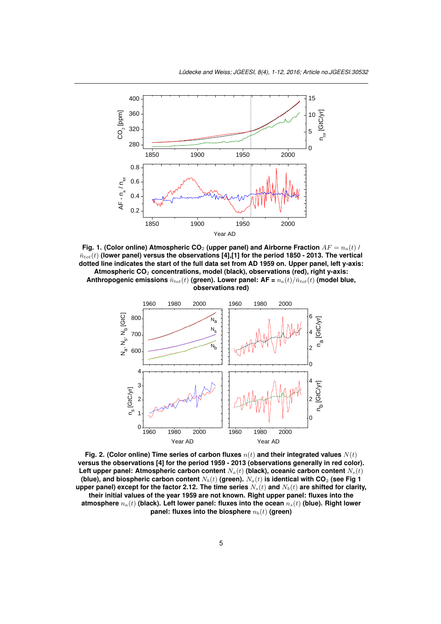

**Fig. 1. (Color online) Atmospheric CO**<sup>2</sup> **(upper panel) and Airborne Fraction** *AF* = *na*(*t*) **/**  $\bar{n}_{tot}(t)$  (lower panel) versus the observations [4],[1] for the period 1850 - 2013. The vertical **dotted line indicates the start of the full data set from AD 1959 on. Upper panel, left y-axis: Atmospheric CO**<sup>2</sup> **concentrations, model (black), observations (red), right y-axis:** Anthropogenic emissions  $\bar{n}_{tot}(t)$  (green). Lower panel:  $AF = n_a(t)/\bar{n}_{tot}(t)$  (model blue, **observati[on](#page-9-3)[s r](#page-9-0)ed)**



**Fig. 2. (Color online) Time series of carbon fluxes** *n*(*t*) **and their integrated values** *N*(*t*) **versus the observations [4] for the period 1959 - 2013 (observations generally in red color). Left upper panel: Atmospheric carbon content**  $N_a(t)$  (black), oceanic carbon content  $N_s(t)$ **(blue), and biospheric carbon content** *Nb*(*t*) **(green).** *Na*(*t*) **is identical with CO**<sup>2</sup> **(see Fig 1 upper panel) except for the factor 2.12. The time series** *Ns*(*t*) **and** *Nb*(*t*) **are shifted for clarity, their initial values of t[he](#page-9-3) year 1959 are not known. Right upper panel: fluxes into the atmosphere** *na*(*t*) **(black). Left lower panel: fluxes into the ocean** *ns*(*t*) **(blue). Right lower panel: fluxes into the biosphere** *nb*(*t*) **(green)**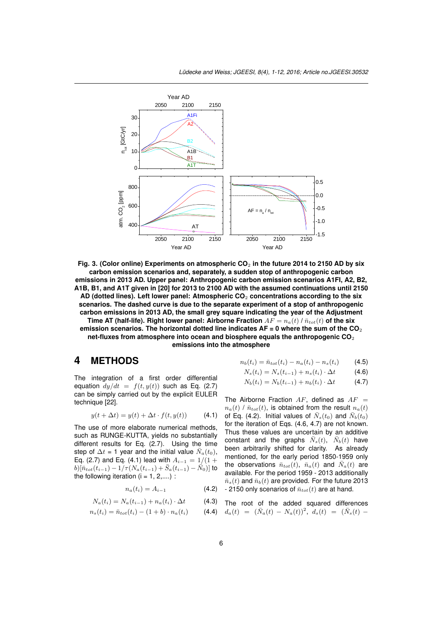

Fig. 3. (Color online) Experiments on atmospheric CO<sub>2</sub> in the future 2014 to 2150 AD by six **carbon emission scenarios and, separately, a sudden stop of anthropogenic carbon emissions in 2013 AD. Upper panel: Anthropogenic carbon emission scenarios A1FI, A2, B2, A1B, B1, and A1T given in [20] for 2013 to 2100 AD with the assumed continuations until 2150 AD (dotted lines). Left lower panel: Atmospheric CO**<sup>2</sup> **concentrations according to the six scenarios. The dashed curve is due to the separate experiment of a stop of anthropogenic carbon emissions in 2013 AD, the small grey square indicating the year of the Adjustment Time AT (half-life). Rig[ht l](#page-10-14)ower panel: Airborne Fraction**  $AF = n_a(t) / \bar{n}_{tot}(t)$  of the six **emission scenarios. The horizontal dotted line indicates AF = 0 where the sum of the CO**<sup>2</sup> **net-fluxes from atmosphere into ocean and biosphere equals the anthropogenic CO**<sup>2</sup> **emissions into the atmosphere**

## **4 METHODS**

The integration of a first order differential equation  $dy/dt = f(t, y(t))$  such as Eq. (2.7) can be simply carried out by the explicit EULER technique [22].

$$
y(t + \Delta t) = y(t) + \Delta t \cdot f(t, y(t)) \tag{4.1}
$$

The use of more elaborate numerical methods, such as R[UN](#page-10-16)GE-KUTTA, yields no substantially different results for Eq. (2.7). Using the time step of  $\Delta t$  = 1 year and the initial value  $\bar{N}_a(t_0)$ , Eq. (2.7) and Eq. (4.1) lead with  $A_{i-1} = 1/(1 +$  $b) [\bar{n}_{tot}(t_{i-1}) - 1/\tau(N_a(t_{i-1}) + \bar{S}_a(t_{i-1}) - \bar{N}_0)]$  to the following iteration  $(i = 1, 2, \ldots)$ :

$$
n_a(t_i) = A_{i-1} \tag{4.2}
$$

$$
N_a(t_i) = N_a(t_{i-1}) + n_a(t_i) \cdot \Delta t \tag{4.3}
$$

$$
n_s(t_i) = \bar{n}_{tot}(t_i) - (1+b) \cdot n_a(t_i)
$$
 (4.4)

$$
n_b(t_i) = \bar{n}_{tot}(t_i) - n_a(t_i) - n_s(t_i)
$$
 (4.5)

$$
N_s(t_i) = N_s(t_{i-1}) + n_s(t_i) \cdot \Delta t \tag{4.6}
$$

$$
N_b(t_i) = N_b(t_{i-1}) + n_b(t_i) \cdot \Delta t \tag{4.7}
$$

The Airborne Fraction *AF*, defined as *AF* =  $n_a(t)$  /  $\bar{n}_{tot}(t)$ , is obtained from the result  $n_a(t)$ of Eq. (4.2). Initial values of  $\bar{N}_s(t_0)$  and  $\bar{N}_b(t_0)$ for the iteration of Eqs. (4.6, 4.7) are not known. Thus these values are uncertain by an additive constant and the graphs  $\bar{N}_s(t)$ ,  $\bar{N}_b(t)$  have been arbitrarily shifted for clarity. As already mentioned, for the early period 1850-1959 only the observations  $\bar{n}_{tot}(t)$ ,  $\bar{n}_a(t)$  and  $\bar{N}_a(t)$  are available. For the period 1959 - 2013 additionally  $\bar{n}_s(t)$  and  $\bar{n}_b(t)$  are provided. For the future 2013  $-$  2150 only scenarios of  $\bar{n}_{tot}(t)$  are at hand.

The root of the added squared differences  

$$
d_a(t) = (\bar{N}_a(t) - N_a(t))^2, d_s(t) = (\bar{N}_s(t) -
$$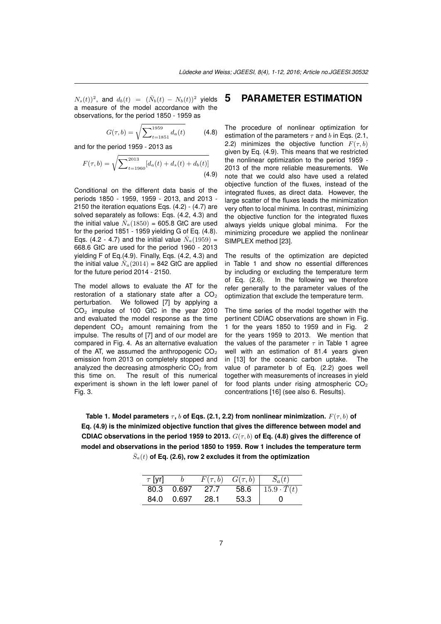$N_s(t)$ <sup>2</sup>, and  $d_b(t) = (\bar{N}_b(t) - N_b(t))^2$  yields a measure of the model accordance with the observations, for the period 1850 - 1959 as

$$
G(\tau, b) = \sqrt{\sum_{t=1851}^{1959} d_a(t)}
$$
 (4.8)

and for the period 1959 - 2013 as

$$
F(\tau, b) = \sqrt{\sum_{t=1960}^{2013} [d_a(t) + d_s(t) + d_b(t)]}
$$
\n(4.9)

Conditional on the different data basis of the periods 1850 - 1959, 1959 - 2013, and 2013 - 2150 the iteration equations Eqs. (4.2) - (4.7) are solved separately as follows: Eqs. (4.2, 4.3) and the initial value  $\bar{N}_a(1850) = 605.8$  GtC are used for the period 1851 - 1959 yielding G of Eq. (4.8). Eqs. (4.2 - 4.7) and the initial value  $\bar{N}_a(1959)$  = 668.6 GtC are used for the period 1960 - 2013 yielding F of Eq.(4.9). Finally, Eqs. (4.2, 4.3) and the initial value  $\bar{N}_a(2014)$  = 842 GtC are applied for the future period 2014 - 2150.

The model allows to evaluate the AT for the restoration of a stationary state after a  $CO<sub>2</sub>$ perturbation. We followed [7] by applying a CO<sup>2</sup> impulse of 100 GtC in the year 2010 and evaluated the model response as the time dependent  $CO<sub>2</sub>$  amount remaining from the impulse. The results of [7] an[d o](#page-10-1)f our model are compared in Fig. 4. As an alternative evaluation of the AT, we assumed the anthropogenic  $CO<sub>2</sub>$ emission from 2013 on completely stopped and analyzed the decreasin[g a](#page-10-1)tmospheric  $CO<sub>2</sub>$  from this time on. The result of this numerical experiment is shown in the left lower panel of Fig. 3.

## **5 PARAMETER ESTIMATION**

The procedure of nonlinear optimization for estimation of the parameters *τ* and *b* in Eqs. (2.1, 2.2) minimizes the objective function  $F(\tau, b)$ given by Eq. (4.9). This means that we restricted the nonlinear optimization to the period 1959 - 2013 of the more reliable measurements. We note that we could also have used a related objective function of the fluxes, instead of the integrated fluxes, as direct data. However, the large scatter of the fluxes leads the minimization very often to local minima. In contrast, minimizing the objective function for the integrated fluxes always yields unique global minima. For the minimizing procedure we applied the nonlinear SIMPLEX method [23].

The results of the optimization are depicted in Table 1 and show no essential differences by including or excluding the temperature term of Eq. (2.6). In [th](#page-10-17)e following we therefore refer generally to the parameter values of the optimization that exclude the temperature term.

The time series of the model together with the pertinent CDIAC observations are shown in Fig. 1 for the years 1850 to 1959 and in Fig. 2 for the years 1959 to 2013. We mention that the values of the parameter *τ* in Table 1 agree well with an estimation of 81.4 years given in [13] for the oceanic carbon uptake. The value of parameter b of Eq. (2.2) goes well together with measurements of increases in yield for food plants under rising atmospheric  $CO<sub>2</sub>$ con[cen](#page-10-7)trations [16] (see also 6. Results).

**Table 1. Model parameters** *τ* **,** *b* **of Eqs. (2.1, 2.2) from nonlinear minimization.** *F*(*τ, b*) **of Eq. (4.9) is the minimized objective function that gives the di[ffe](#page-10-10)rence between model and CDIAC observations in the period 1959 to 2013.** *G*(*τ, b*) **of Eq. (4.8) gives the difference of model and observations in the period 1850 to 1959. Row 1 includes the temperature term**  $\bar{S}_a(t)$  of Eq. (2.6), row 2 excludes it from the optimization

| $\tau$ [yr] |       | $F(\tau, b)$ | $G(\tau, b)$ | $S_a(t)$          |
|-------------|-------|--------------|--------------|-------------------|
| 80.3        | 0.697 | 27.7         | 58.6         | $15.9 \cdot T(t)$ |
| 84.0        | 0.697 | 28.1         | 53.3         | $\mathbf{U}$      |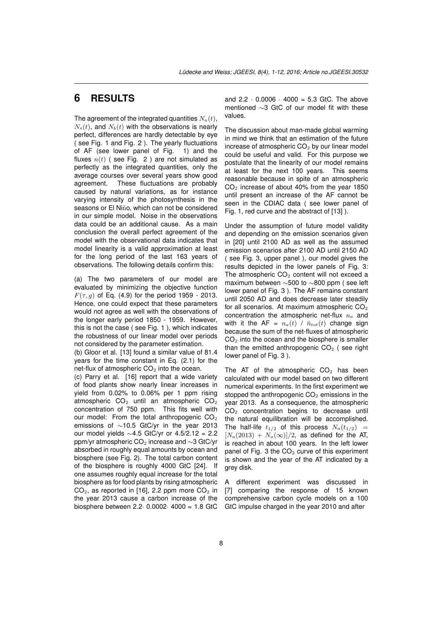# **6 RESULTS**

The agreement of the integrated quantities  $N_a(t)$ ,  $N_s(t)$ , and  $N_b(t)$  with the observations is nearly perfect, differences are hardly detectable by eye ( see Fig. 1 and Fig. 2 ). The yearly fluctuations of AF (see lower panel of Fig. 1) and the fluxes  $n(t)$  (see Fig. 2) are not simulated as perfectly as the integrated quantities, only the average courses over several years show good agreement. These fluctuations are probably caused by natural variations, as for instance varying intensity of the photosynthesis in the seasons or El Niño, which can not be considered in our simple model. Noise in the observations data could be an additional cause. As a main conclusion the overall perfect agreement of the model with the observational data indicates that model linearity is a valid approximation at least for the long period of the last 163 years of observations. The following details confirm this:

(a) The two parameters of our model are evaluated by minimizing the objective function *F*( $\tau$ , *q*) of Eq. (4.9) for the period 1959 - 2013. Hence, one could expect that these parameters would not agree as well with the observations of the longer early period 1850 - 1959. However, this is not the case ( see Fig. 1 ), which indicates the robustness of our linear model over periods not considered by the parameter estimation.

(b) Gloor et al. [13] found a similar value of 81.4 years for the time constant in Eq. (2.1) for the net-flux of atmospheric  $CO<sub>2</sub>$  into the ocean.

(c) Parry et al. [16] report that a wide variety of food plants show nearly linear increases in yield from 0.02[%](#page-10-7) to 0.06% per 1 ppm rising atmospheric  $CO<sub>2</sub>$  until an atmospheric  $CO<sub>2</sub>$ concentration of 750 ppm. This fits well with our model: Fro[m th](#page-10-10)e total anthropogenic  $CO<sub>2</sub>$ emissions of *∼*10.5 GtC/yr in the year 2013 our model yields *∼*4.5 GtC/yr or 4.5/2.12 = 2.2 ppm/yr atmospheric CO<sup>2</sup> increase and *∼*3 GtC/yr absorbed in roughly equal amounts by ocean and biosphere (see Fig. 2). The total carbon content of the biosphere is roughly 4000 GtC [24]. If one assumes roughly equal increase for the total biosphere as for food plants by rising atmospheric  $CO<sub>2</sub>$ , as reported in [16], 2.2 ppm more  $CO<sub>2</sub>$  in the year 2013 cause a carbon increase of the biosphere between 2.2*·* 0.0002*·* 4000 = [1.8](#page-10-18) GtC and 2.2 *·* 0.0006 *·* 4000 = 5.3 GtC. The above mentioned *∼*3 GtC of our model fit with these values.

The discussion about man-made global warming in mind we think that an estimation of the future increase of atmospheric  $CO<sub>2</sub>$  by our linear model could be useful and valid. For this purpose we postulate that the linearity of our model remains at least for the next 100 years. This seems reasonable because in spite of an atmospheric CO<sup>2</sup> increase of about 40% from the year 1850 until present an increase of the AF cannot be seen in the CDIAC data ( see lower panel of Fig. 1, red curve and the abstract of [13] ).

Under the assumption of future model validity and depending on the emission scenarios given in [20] until 2100 AD as well as the assumed emission scenarios after 2100 AD u[ntil](#page-10-7) 2150 AD ( see Fig. 3, upper panel ), our model gives the results depicted in the lower panels of Fig. 3: Th[e a](#page-10-14)tmospheric  $CO<sub>2</sub>$  content will not exceed a maximum between *∼*500 to *∼*800 ppm ( see left lower panel of Fig. 3 ). The AF remains constant until 2050 AD and does decrease later steadily for all scenarios. At maximum atmospheric  $CO<sub>2</sub>$ concentration the atmospheric net-flux *n<sup>a</sup>* and with it the AF =  $n_a(t)$  /  $\bar{n}_{tot}(t)$  change sign because the sum of the net-fluxes of atmospheric  $CO<sub>2</sub>$  into the ocean and the biosphere is smaller than the emitted anthropogenic  $CO<sub>2</sub>$  (see right lower panel of Fig. 3 ).

The AT of the atmospheric  $CO<sub>2</sub>$  has been calculated with our model based on two different numerical experiments. In the first experiment we stopped the anthropogenic  $CO<sub>2</sub>$  emissions in the year 2013. As a consequence, the atmospheric  $CO<sub>2</sub>$  concentration begins to decrease until the natural equilibration will be accomplished. The half-life  $t_{1/2}$  of this process  $N_a(t_{1/2})$  =  $[N_a(2013) + N_a(\infty)]/2$ , as defined for the AT, is reached in about 100 years. In the left lower panel of Fig. 3 the  $CO<sub>2</sub>$  curve of this experiment is shown and the year of the AT indicated by a grey disk.

A different experiment was discussed in [7] comparing the response of 15 known comprehensive carbon cycle models on a 100 GtC impulse charged in the year 2010 and after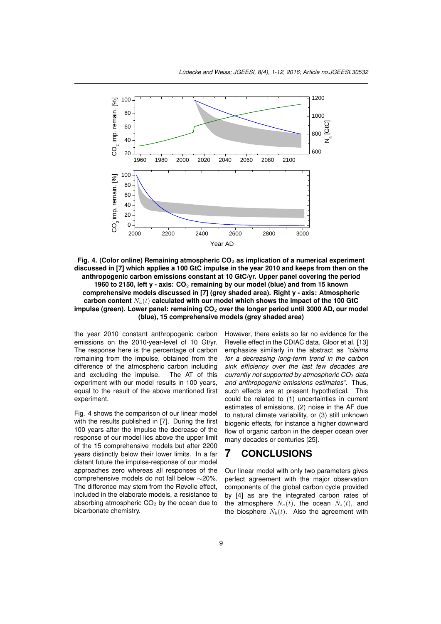

**Fig. 4. (Color online) Remaining atmospheric CO**<sup>2</sup> **as implication of a numerical experiment discussed in [7] which applies a 100 GtC impulse in the year 2010 and keeps from then on the anthropogenic carbon emissions constant at 10 GtC/yr. Upper panel covering the period 1960 to 2150, left y - axis: CO**<sup>2</sup> **remaining by our model (blue) and from 15 known comprehensive models discussed in [7] (grey shaded area). Right y - axis: Atmospheric carbon co[nte](#page-10-1)nt** *Na*(*t*) **calculated with our model which shows the impact of the 100 GtC impulse (green). Lower panel: remaining CO**<sup>2</sup> **over the longer period until 3000 AD, our model (blue), 15 comprehensive models (grey shaded area)**

the year 2010 constant anthropogenic c[ar](#page-10-1)bon emissions on the 2010-year-level of 10 Gt/yr. The response here is the percentage of carbon remaining from the impulse, obtained from the difference of the atmospheric carbon including and excluding the impulse. The AT of this experiment with our model results in 100 years, equal to the result of the above mentioned first experiment.

Fig. 4 shows the comparison of our linear model with the results published in [7]. During the first 100 years after the impulse the decrease of the response of our model lies above the upper limit of the 15 comprehensive models but after 2200 years distinctly below their lower limits. In a far distant future the impulse-res[po](#page-10-1)nse of our model approaches zero whereas all responses of the comprehensive models do not fall below *∼*20%. The difference may stem from the Revelle effect, included in the elaborate models, a resistance to absorbing atmospheric  $CO<sub>2</sub>$  by the ocean due to bicarbonate chemistry.

However, there exists so far no evidence for the Revelle effect in the CDIAC data. Gloor et al. [13] emphasize similarly in the abstract as *"claims for a decreasing long-term trend in the carbon sink efficiency over the last few decades are currently not supported by atmospheric CO*<sup>2</sup> *d[ata](#page-10-7) and anthropogenic emissions estimates"*. Thus, such effects are at present hypothetical. This could be related to (1) uncertainties in current estimates of emissions, (2) noise in the AF due to natural climate variability, or (3) still unknown biogenic effects, for instance a higher downward flow of organic carbon in the deeper ocean over many decades or centuries [25].

## **7 CONCLUSIONS**

Our linear model with only two parameters gives perfect agreement with th[e m](#page-11-0)ajor observation components of the global carbon cycle provided by [4] as are the integrated carbon rates of the atmosphere  $\bar{N}_a(t)$ , the ocean  $\bar{N}_s(t)$ , and the biosphere  $\bar{N}_b(t)$ . Also the agreement with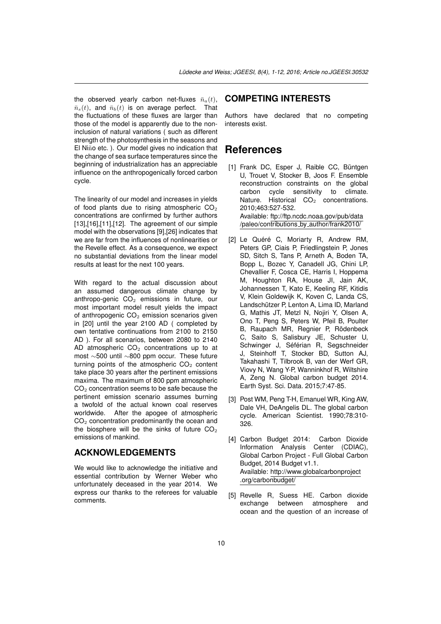the observed yearly carbon net-fluxes  $\bar{n}_a(t)$ ,  $\bar{n}_s(t)$ , and  $\bar{n}_b(t)$  is on average perfect. That the fluctuations of these fluxes are larger than those of the model is apparently due to the noninclusion of natural variations ( such as different strength of the photosynthesis in the seasons and El Niño etc. ). Our model gives no indication that the change of sea surface temperatures since the beginning of industrialization has an appreciable influence on the anthropogenically forced carbon cycle.

The linearity of our model and increases in yields of food plants due to rising atmospheric  $CO<sub>2</sub>$ concentrations are confirmed by further authors [13],[16],[11],[12]. The agreement of our simple model with the observations [9],[26] indicates that we are far from the influences of nonlinearities or the Revelle effect. As a consequence, we expect no substantial deviations from the linear model [resu](#page-10-7)l[ts a](#page-10-10)t [lea](#page-10-5)[st fo](#page-10-6)r the next 1[00](#page-10-3) [yea](#page-11-1)rs.

With regard to the actual discussion about an assumed dangerous climate change by anthropo-genic  $CO<sub>2</sub>$  emissions in future, our most important model result yields the impact of anthropogenic  $CO<sub>2</sub>$  emission scenarios given in [20] until the year 2100 AD ( completed by own tentative continuations from 2100 to 2150 AD ). For all scenarios, between 2080 to 2140 AD atmospheric  $CO<sub>2</sub>$  concentrations up to at most *∼*500 until *∼*800 ppm occur. These future tur[ning](#page-10-14) points of the atmospheric  $CO<sub>2</sub>$  content take place 30 years after the pertinent emissions maxima. The maximum of 800 ppm atmospheric  $CO<sub>2</sub>$  concentration seems to be safe because the pertinent emission scenario assumes burning a twofold of the actual known coal reserves worldwide. After the apogee of atmospheric  $CO<sub>2</sub>$  concentration predominantly the ocean and the biosphere will be the sinks of future  $CO<sub>2</sub>$ emissions of mankind.

#### **ACKNOWLEDGEMENTS**

We would like to acknowledge the initiative and essential contribution by Werner Weber who unfortunately deceased in the year 2014. We express our thanks to the referees for valuable comments.

#### **COMPETING INTERESTS**

Authors have declared that no competing interests exist.

### **References**

- <span id="page-9-0"></span>[1] Frank DC, Esper J, Raible CC, Büntgen U, Trouet V, Stocker B, Joos F. Ensemble reconstruction constraints on the global carbon cycle sensitivity to climate. Nature. Historical  $CO<sub>2</sub>$  concentrations. 2010;463:527-532. Available: ftp://ftp.ncdc.noaa.gov/pub/data /paleo/contributions by author/frank2010/
- <span id="page-9-1"></span>[2] Le Quéré C, Moriarty R, Andrew RM, Peters GP, Ciais P, Friedlingstein P, Jones SD, Sitch S, Tans P, Arneth A, Boden TA, Bopp L, Bozec Y, Canadell JG, Chini LP, Chevallier F, Cosca CE, Harris I, Hoppema M, Houghton RA, House JI, Jain AK, Johannessen T, Kato E, Keeling RF, Kitidis V, Klein Goldewijk K, Koven C, Landa CS, Landschützer P, Lenton A, Lima ID, Marland G, Mathis JT, Metzl N, Nojiri Y, Olsen A, Ono T, Peng S, Peters W, Pfeil B, Poulter B, Raupach MR, Regnier P, Rödenbeck C, Saito S, Salisbury JE, Schuster U, Schwinger J, Séférian R, Segschneider J, Steinhoff T, Stocker BD, Sutton AJ, Takahashi T, Tilbrook B, van der Werf GR, Viovy N, Wang Y-P, Wanninkhof R, Wiltshire A, Zeng N. Global carbon budget 2014. Earth Syst. Sci. Data. 2015;7:47-85.
- [3] Post WM, Peng T-H, Emanuel WR, King AW, Dale VH, DeAngelis DL. The global carbon cycle. American Scientist. 1990;78:310- 326.
- <span id="page-9-2"></span>[4] Carbon Budget 2014: Carbon Dioxide Information Analysis Center (CDIAC), Global Carbon Project - Full Global Carbon Budget, 2014 Budget v1.1. Available: http://www.globalcarbonproject .org/carbonbudget/
- <span id="page-9-3"></span>[5] Revelle R, Suess HE. Carbon dioxide exchange between atmosphere and ocean and the question of an increase of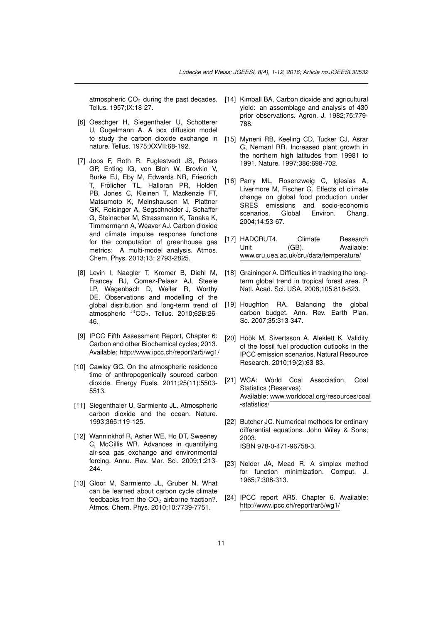Tellus. 1957;IX:18-27.

- <span id="page-10-0"></span>[6] Oeschger H, Siegenthaler U, Schotterer U, Gugelmann A. A box diffusion model to study the carbon dioxide exchange in nature. Tellus. 1975;XXVII:68-192.
- <span id="page-10-10"></span><span id="page-10-1"></span>[7] Joos F, Roth R, Fuglestvedt JS, Peters GP, Enting IG, von Bloh W, Brovkin V, Burke EJ, Eby M, Edwards NR, Friedrich T. Frölicher TL, Halloran PR, Holden PB, Jones C, Kleinen T, Mackenzie FT, Matsumoto K, Meinshausen M, Plattner GK, Reisinger A, Segschneider J, Schaffer G, Steinacher M, Strassmann K, Tanaka K, Timmermann A, Weaver AJ. Carbon dioxide and climate impulse response functions for the computation of greenhouse gas metrics: A multi-model analysis. Atmos. Chem. Phys. 2013;13: 2793-2825.
- <span id="page-10-13"></span><span id="page-10-12"></span><span id="page-10-11"></span><span id="page-10-2"></span>[8] Levin I, Naegler T, Kromer B, Diehl M, Francey RJ, Gomez-Pelaez AJ, Steele LP, Wagenbach D, Weller R, Worthy DE. Observations and modelling of the global distribution and long-term trend of atmospheric  $14CO_2$ . Tellus. 2010:62B:26-46.
- <span id="page-10-14"></span><span id="page-10-3"></span>[9] IPCC Fifth Assessment Report, Chapter 6: Carbon and other Biochemical cycles; 2013. Available: http://www.ipcc.ch/report/ar5/wg1/
- <span id="page-10-15"></span><span id="page-10-4"></span>[10] Cawley GC. On the atmospheric residence time of anthropogenically sourced carbon dioxide. Energy Fuels. 2011;25(11):5503- 5513.
- <span id="page-10-16"></span><span id="page-10-5"></span>[11] Siegenthaler U, Sarmiento JL. Atmospheric carbon dioxide and the ocean. Nature. 1993;365:119-125.
- <span id="page-10-17"></span><span id="page-10-6"></span>[12] Wanninkhof R, Asher WE, Ho DT, Sweeney C, McGillis WR. Advances in quantifying air-sea gas exchange and environmental forcing. Annu. Rev. Mar. Sci. 2009;1:213- 244.
- <span id="page-10-18"></span><span id="page-10-7"></span>[13] Gloor M, Sarmiento JL, Gruber N. What can be learned about carbon cycle climate feedbacks from the  $CO<sub>2</sub>$  airborne fraction?. Atmos. Chem. Phys. 2010;10:7739-7751.
- <span id="page-10-9"></span><span id="page-10-8"></span>atmospheric  $CO<sub>2</sub>$  during the past decades. [14] Kimball BA. Carbon dioxide and agricultural yield: an assemblage and analysis of 430 prior observations. Agron. J. 1982;75:779- 788.
	- [15] Myneni RB, Keeling CD, Tucker CJ, Asrar G, Nemanl RR. Increased plant growth in the northern high latitudes from 19981 to 1991. Nature. 1997;386:698-702.
	- [16] Parry ML, Rosenzweig C, Iglesias A, Livermore M, Fischer G. Effects of climate change on global food production under SRES emissions and socio-economic scenarios. Global Environ. Chang. 2004;14:53-67.
	- [17] HADCRUT4. Climate Research Unit (GB). Available: www.cru.uea.ac.uk/cru/data/temperature/
	- [18] Graininger A. Difficulties in tracking the longterm global trend in tropical forest area. P. Natl. Acad. Sci. USA. 2008;105:818-823.
	- [19] Houghton RA. Balancing the global carbon budget. Ann. Rev. Earth Plan. Sc. 2007;35:313-347.
	- [20] Höök M, Sivertsson A, Aleklett K. Validity of the fossil fuel production outlooks in the IPCC emission scenarios. Natural Resource Research. 2010;19(2):63-83.
	- [21] WCA: World Coal Association, Coal Statistics (Reserves) Available: www.worldcoal.org/resources/coal -statistics/
	- [22] Butcher JC. Numerical methods for ordinary differential equations. John Wiley & Sons; 2003. ISBN 978-0-471-96758-3.
	- [23] Nelder JA, Mead R. A simplex method for function minimization. Comput. J. 1965;7:308-313.
	- [24] IPCC report AR5. Chapter 6. Available: http://www.ipcc.ch/report/ar5/wg1/